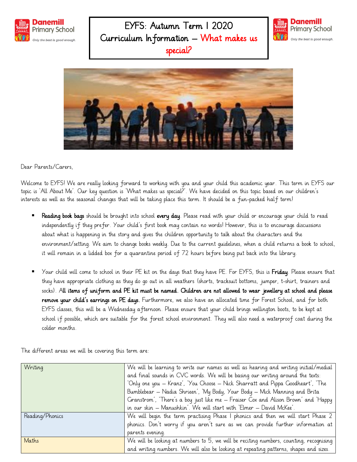

## EYFS: Autumn Term 1 2020 Curriculum Information – What makes us special?





Dear Parents/Carers,

Welcome to EYFS! We are really looking forward to working with you and your child this academic year. This term in EYFS our topic is 'All About Me'. Our key question is 'What makes us special?'. We have decided on this topic based on our children's interests as well as the seasonal changes that will be taking place this term. It should be a fun-packed half term!

- Reading book bags should be brought into school every day. Please read with your child or encourage your child to read independently if they prefer. Your child's first book may contain no words! However, this is to encourage discussions about what is happening in the story and gives the children opportunity to talk about the characters and the environment/setting. We aim to change books weekly. Due to the current guidelines, when a child returns a book to school, it will remain in a lidded box for a quarantine period of 72 hours before being put back into the library.
- Your child will come to school in their PE kit on the days that they have PE. For EYFS, this is Friday. Please ensure that they have appropriate clothing as they do go out in all weathers (shorts, tracksuit bottoms, jumper, t-shirt, trainers and socks). All items of uniform and PE kit must be named. Children are not allowed to wear jewellery at school and please remove your child's earrings on PE days. Furthermore, we also have an allocated time for Forest School, and for both EYFS classes, this will be a Wednesday afternoon. Please ensure that your child brings wellington boots, to be kept at school if possible, which are suitable for the forest school environment. They will also need a waterproof coat during the colder months.

The different areas we will be covering this term are:

| Writing         | We will be learning to write our names as well as hearing and writing initial/medial   |
|-----------------|----------------------------------------------------------------------------------------|
|                 | and final sounds in CVC words. We will be basing our writing around the texts:         |
|                 | 'Only one you – Kranz', 'You Choose – Nick Sharratt and Pippa Goodheart', 'The         |
|                 | Bumblebear – Nadia Shrieen', 'My Body, Your Body – Mick Manning and Brita              |
|                 | Granstrom', 'There's a boy just like me – Fraiser Cox and Alison Brown' and 'Happy     |
|                 | in our skin – Manushkin'. We will start with 'Elmer – David McKee'.                    |
| Reading/Phonics | We will begin the term practising Phase I phonics and then we will start Phase 2       |
|                 | phonics. Don't worry if you aren't sure as we can provide further information at       |
|                 | parents evening.                                                                       |
| Maths           | We will be looking at numbers to 5, we will be reciting numbers, counting, recognising |
|                 | and writing numbers. We will also be looking at repeating patterns, shapes and sizes.  |